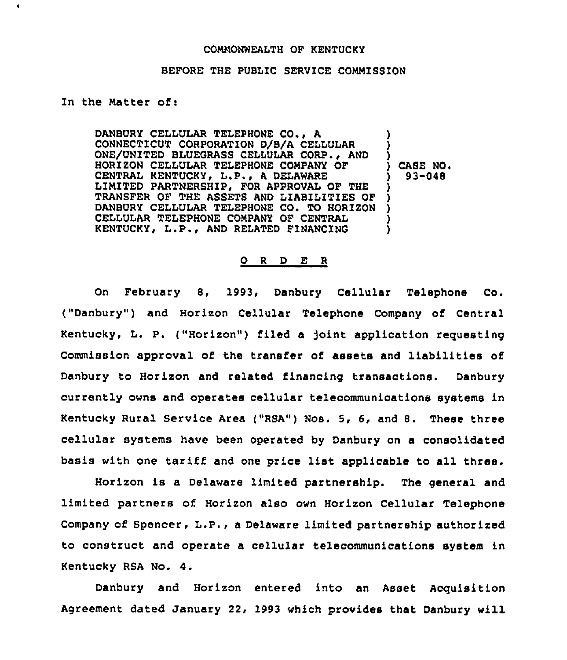## COMMONWEALTH OF KENTUCKY

## BEFORE THE PUBLIC SERVICE COMMISSION

## In the Natter of:

٠

DANBURY CELLULAR TELEPHONE CO., A CONNECTICUT CORPORATION D/B/A CELLULAR ONE/UNITED BLUEGRASS CELLULAR CORP., AND HORIZON CELLULAR TELEPHONE COMPANY OF CENTRAL KENTUCKY, L.P., A DELAWARE LIMITED PARTNERSHIP, FOR APPROVAL OF THE TRANSFER OF THE ASSETS AND LIABILITIES OF DANBURY CELLULAR TELEPHONE CO, TO HORIZON CELLULAR TELEPHONE CONPANY OF CENTRAL KENTUCKY, L.P., AND RELATED FINANCING ) ) ) ) CASE NO <sup>~</sup> ) 93-048 ) ) ) ) )

## O R D E R

On February 8, 1993, Danbury Cellular Telephone Co. ("Danbury") and Horizon Cellular Telephone Company of Central Kentucky, L. P. ("Horizon") filed a joint application requesting Commission approval of the transfer of assets and liabilities of Danbury to Horizon and related financing transactions. Danbury currently owns and operates cellular telecommunications systems in Kentucky Rural Service Area ("RSA") Nos. 5, 6, and 8. These three cellular systems have been operated by Danbury on a consolidated basis with one tariff and one price list applicable to all three.

Horizon is a Delaware limited partnership. The general and limited partners of Horiron also own Horizon Cellular Telephone Company of Spencer, L.P., <sup>a</sup> Delaware limited partnership authorized to construct and operate a cellular telecommunications system in Kentucky RSA No. 4.

Danbury and Horizon entered into an Asset Acquisition Agreement dated January 22, 1993 which provides that Danbury will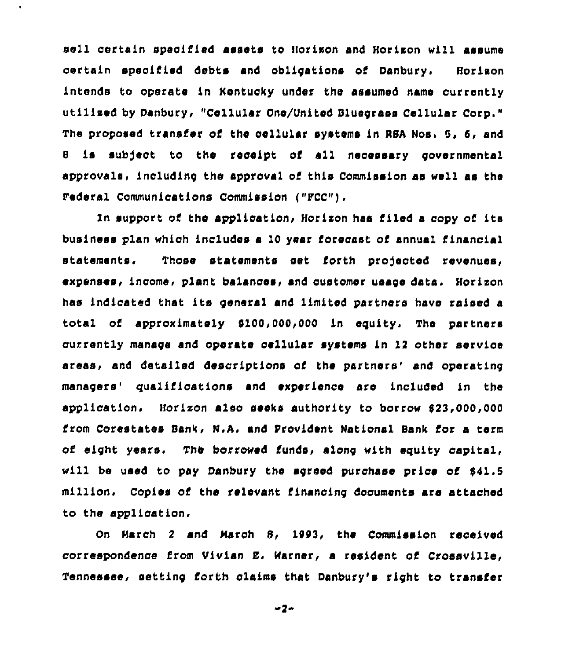sell certain specified assets to Horixon and Horixon will assume certain specified debts and obligations of Danbury. Horixon intends to operate in Hentucky under the assumed name currently utilized by Danbury, "Cellular One/United Bluegrass Cellular Corp." The proposed transfer of the cellular systems in NBA Nos. 5, 6, and <sup>8</sup> is subject to the receipt of all necessary governmental approvals, including the approval of this Commission as well as the Federal Communications Commission ("FCC").

ln support cf the application, Horixon has filed a copy of its business plan whioh includes a 10 year forecast of annual financial statements. Those statements set forth projected revenues, ~xpenses, income, plant balances, snd customer usage data. Horixon has indicated that its general and limited partners have raised a total of approximsteiy 9100,000,000 in equity. The partners currently manage and operate cellular systems in 12 other service areas, and detailed descriptions of the partners' and operating managers' qualifications and experience are included in the application. Horixon also seeks authority to borrow 823,000,000 Lrom Corestates Sank, N.A, snd ProvLdent National Bank for a term of eight years. The borrowed funds, along with equity capital, will be used to pay Danbury the agreed purchase price of 841.5 million. Copies of the relevant financing documents are attached to the application.

On March 2 and March 8, 1993, the Commission received correspondence from Vlvian E. Marner, a resident of Crossville, Tennessee, setting forth claims that Dsnbury's right to transfer

 $-2-$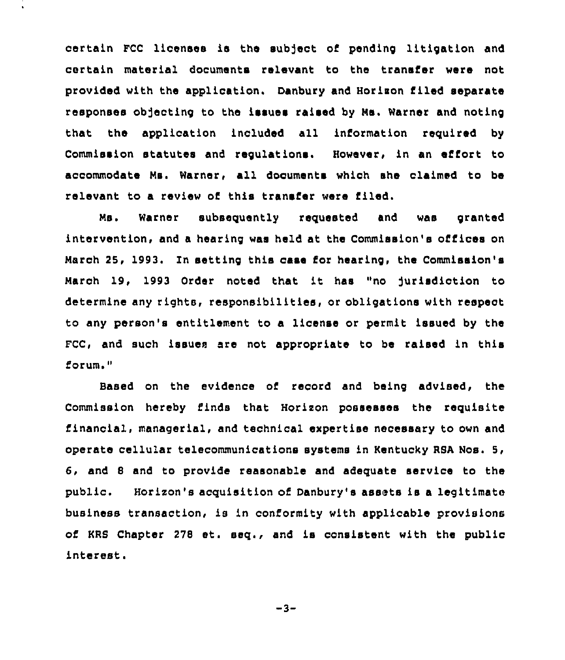certain FCC licenses is the subject of pending litigation and certain material documents relevant to the transfer were not provided with the application. Danbury and Horiaon filed separate responses obfecting to the issues raised by Ns. Warner and noting that the application included all information required by Commission statutes and regulatione. However, in an effort to accommodate Ns. Warner, all documents which ehe claimed to be relevant to a review of this transfer were filed.

Ms. Warner subsequently requested and was granted intervention, and a hearing was held at the Commission's offices on March 25, 1993. In setting this case for hearing, the Commission's March 19, 1993 Order noted that it has "no jurisdiction to determine any rights, responsibilities, or obligations with respect to any person's entitlement to a license or permit issued by the FCC, and such issues are not appropriate to be raised in this forum."

Based on the evidence of record and being advised, the Commission hereby finds that Horixon possesses the requisite financial, managerial, and technical expertise necessary to own and operate cellular telecommunications systems in Kentucky RSA Nos. 5, 6, and 8 and to provide reasonable and adequate service to the public. Horizon's acquisition of Danbury's assets is a legitimate business transaction, is in conformity with applicable provisions of KRS Chapter <sup>278</sup> et. seq., and is consistent with the public interest.

 $-3-$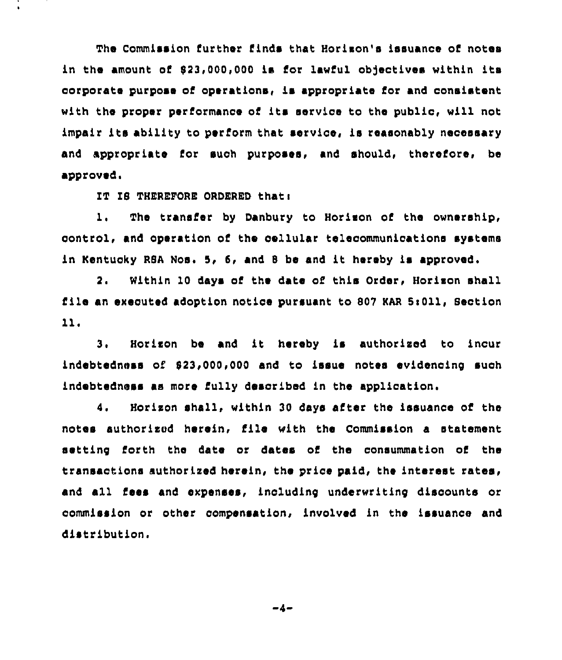The Commission further finds that Horixon's issuance of notes in the amount of \$23,000,000 is for lawful objectives within its corporate purpose of operations, is appropriate for and consistent with the proper performance of its service to the public, will not impair its ability to perform that service, is reasonably necessary and appropriate Cor such purposes, and should, therefore, be approved.

IT IS THEREFORE ORDERED that:

1. The transfer by Danbury to Horixon of the ownership, control, and operation of the cellular tolecommunioations systems in Kentucky RSA Nos. 5, 5, and <sup>8</sup> be and it hereby is approved.

2. Within 10 days of the date of this Order, Horixon shall file an executed adoption notice pursuant to 807 KAR 5:011, Section 11.

3. Horixon be and it hereby is authorised to incur indebtedness of 823,000,000 and to issue notes evidencing such indebtedness as more fully described in the application.

4. Horixon shall, within 30 days after the issuance of the notes authorised herein, file with the Commission a statement setting forth the date or dates of the consummation of the transactions authorised herein, the price paid, the interest rates, and all Cess and expenses, inoluding underwriting discounts or commission or other compensation, involved in the issuance and distribution.

 $-4-$